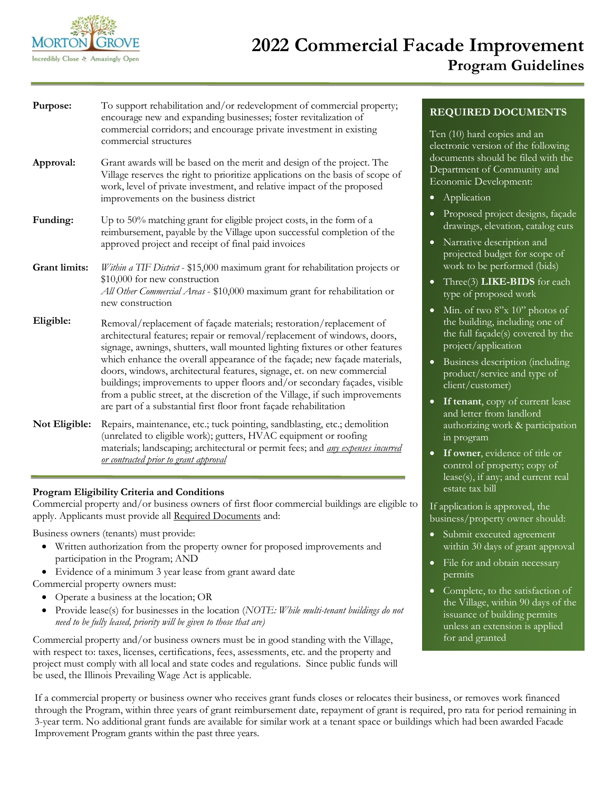

# **2022 Commercial Facade Improvement Program Guidelines**

| Purpose:      | To support rehabilitation and/or redevelopment of commercial property;<br>encourage new and expanding businesses; foster revitalization of<br>commercial corridors; and encourage private investment in existing<br>commercial structures                                                                                                                                                                                                                                                                                                                                                                                |
|---------------|--------------------------------------------------------------------------------------------------------------------------------------------------------------------------------------------------------------------------------------------------------------------------------------------------------------------------------------------------------------------------------------------------------------------------------------------------------------------------------------------------------------------------------------------------------------------------------------------------------------------------|
| Approval:     | Grant awards will be based on the merit and design of the project. The<br>Village reserves the right to prioritize applications on the basis of scope of<br>work, level of private investment, and relative impact of the proposed<br>improvements on the business district                                                                                                                                                                                                                                                                                                                                              |
| Funding:      | Up to 50% matching grant for eligible project costs, in the form of a<br>reimbursement, payable by the Village upon successful completion of the<br>approved project and receipt of final paid invoices                                                                                                                                                                                                                                                                                                                                                                                                                  |
| Grant limits: | Within a TIF District - \$15,000 maximum grant for rehabilitation projects or<br>\$10,000 for new construction<br>All Other Commercial Areas - \$10,000 maximum grant for rehabilitation or<br>new construction                                                                                                                                                                                                                                                                                                                                                                                                          |
| Eligible:     | Removal/replacement of façade materials; restoration/replacement of<br>architectural features; repair or removal/replacement of windows, doors,<br>signage, awnings, shutters, wall mounted lighting fixtures or other features<br>which enhance the overall appearance of the façade; new façade materials,<br>doors, windows, architectural features, signage, et. on new commercial<br>buildings; improvements to upper floors and/or secondary façades, visible<br>from a public street, at the discretion of the Village, if such improvements<br>are part of a substantial first floor front façade rehabilitation |
| Not Eligible: | Repairs, maintenance, etc.; tuck pointing, sandblasting, etc.; demolition<br>(unrelated to eligible work); gutters, HVAC equipment or roofing<br>materials; landscaping; architectural or permit fees; and <i>any expenses incurred</i><br>or contracted prior to grant approval                                                                                                                                                                                                                                                                                                                                         |

### **Program Eligibility Criteria and Conditions**

Commercial property and/or business owners of first floor commercial buildings are eligible to apply. Applicants must provide all Required Documents and:

Business owners (tenants) must provide:

- Written authorization from the property owner for proposed improvements and participation in the Program; AND
- Evidence of a minimum 3 year lease from grant award date

Commercial property owners must:

- Operate a business at the location; OR
- Provide lease(s) for businesses in the location (*NOTE: While multi-tenant buildings do not need to be fully leased, priority will be given to those that are)*

Commercial property and/or business owners must be in good standing with the Village, with respect to: taxes, licenses, certifications, fees, assessments, etc. and the property and project must comply with all local and state codes and regulations. Since public funds will be used, the Illinois Prevailing Wage Act is applicable.

## **REQUIRED DOCUMENTS**

Ten (10) hard copies and an electronic version of the following documents should be filed with the Department of Community and Economic Development:

- Application
- Proposed project designs, façade drawings, elevation, catalog cuts
- Narrative description and projected budget for scope of work to be performed (bids)
- Three(3) **LIKE-BIDS** for each type of proposed work
- Min. of two 8"x 10" photos of the building, including one of the full façade(s) covered by the project/application
- Business description (including product/service and type of client/customer)
- **If tenant**, copy of current lease and letter from landlord authorizing work & participation in program
- **If owner**, evidence of title or control of property; copy of lease(s), if any; and current real estate tax bill

If application is approved, the business/property owner should:

- Submit executed agreement within 30 days of grant approval
- File for and obtain necessary permits
- Complete, to the satisfaction of the Village, within 90 days of the issuance of building permits unless an extension is applied for and granted

If a commercial property or business owner who receives grant funds closes or relocates their business, or removes work financed through the Program, within three years of grant reimbursement date, repayment of grant is required, pro rata for period remaining in 3-year term. No additional grant funds are available for similar work at a tenant space or buildings which had been awarded Facade Improvement Program grants within the past three years.